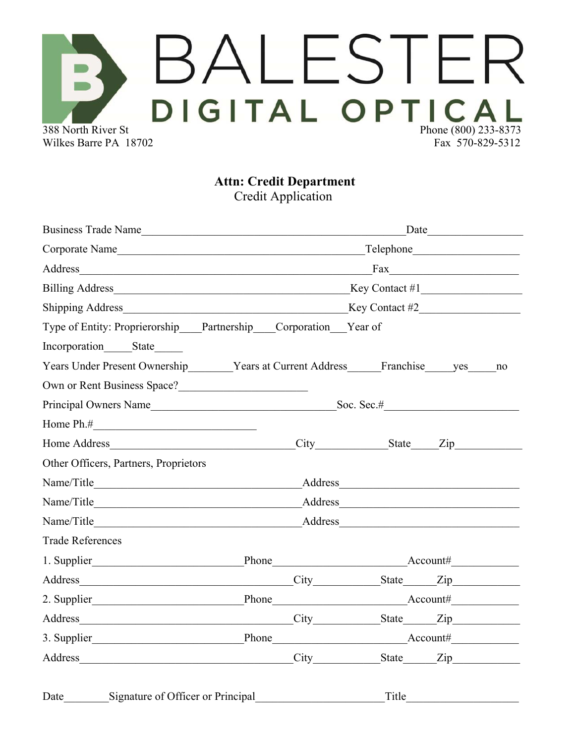## **BALESTER** Wilkes Barre PA 18702 Fax 570-829-5312

**Attn: Credit Department**

Credit Application

| Date                                                                                                                                                                                                                           |                | Business Trade Name                                                                                                                                                                                                            |         |                                                                                     |                         |
|--------------------------------------------------------------------------------------------------------------------------------------------------------------------------------------------------------------------------------|----------------|--------------------------------------------------------------------------------------------------------------------------------------------------------------------------------------------------------------------------------|---------|-------------------------------------------------------------------------------------|-------------------------|
|                                                                                                                                                                                                                                |                | Corporate Name                                                                                                                                                                                                                 |         |                                                                                     |                         |
| Fax                                                                                                                                                                                                                            |                | <u> 1989 - Johann John Stoff, deutscher Stoffen und der Stoffen und der Stoffen und der Stoffen und der Stoffen</u>                                                                                                            | Address |                                                                                     |                         |
|                                                                                                                                                                                                                                |                |                                                                                                                                                                                                                                |         |                                                                                     |                         |
|                                                                                                                                                                                                                                |                |                                                                                                                                                                                                                                |         |                                                                                     |                         |
|                                                                                                                                                                                                                                |                |                                                                                                                                                                                                                                |         | Type of Entity: Proprierorship Partnership Corporation Year of                      |                         |
|                                                                                                                                                                                                                                |                |                                                                                                                                                                                                                                |         | Incorporation State                                                                 |                         |
| no                                                                                                                                                                                                                             |                |                                                                                                                                                                                                                                |         | Years Under Present Ownership _______ Years at Current Address ______ Franchise yes |                         |
|                                                                                                                                                                                                                                |                |                                                                                                                                                                                                                                |         |                                                                                     |                         |
|                                                                                                                                                                                                                                |                | Principal Owners Name Soc. Sec.# Soc. Sec.# Soc. Sec.# Soc. Sec.# Soc. Sec.# Soc. Sec.# Soc. Sec.# Soc. Sec.# Soc. Sec.# Soc. Sec.# Soc. Sec.# Soc. Sec.# Soc. Sec.# Soc. Sec.# Soc. Sec.# Soc. Sec.# Soc. Sec.# Soc. Sec.# So |         |                                                                                     |                         |
|                                                                                                                                                                                                                                |                |                                                                                                                                                                                                                                |         | Home $Ph.#$                                                                         |                         |
|                                                                                                                                                                                                                                | City State Zip |                                                                                                                                                                                                                                |         | Home Address                                                                        |                         |
|                                                                                                                                                                                                                                |                |                                                                                                                                                                                                                                |         | Other Officers, Partners, Proprietors                                               |                         |
| Address <b>Manual</b>                                                                                                                                                                                                          |                |                                                                                                                                                                                                                                |         |                                                                                     |                         |
|                                                                                                                                                                                                                                |                |                                                                                                                                                                                                                                |         |                                                                                     |                         |
| Address and the contract of the contract of the contract of the contract of the contract of the contract of the contract of the contract of the contract of the contract of the contract of the contract of the contract of th |                | Name/Title                                                                                                                                                                                                                     |         |                                                                                     |                         |
|                                                                                                                                                                                                                                |                |                                                                                                                                                                                                                                |         |                                                                                     | <b>Trade References</b> |
|                                                                                                                                                                                                                                |                |                                                                                                                                                                                                                                |         |                                                                                     |                         |
|                                                                                                                                                                                                                                |                |                                                                                                                                                                                                                                |         | Address City City                                                                   |                         |
|                                                                                                                                                                                                                                |                |                                                                                                                                                                                                                                |         |                                                                                     |                         |
|                                                                                                                                                                                                                                |                |                                                                                                                                                                                                                                |         | Address City State Zip                                                              |                         |
|                                                                                                                                                                                                                                |                |                                                                                                                                                                                                                                |         |                                                                                     |                         |
| State Zip                                                                                                                                                                                                                      |                | City                                                                                                                                                                                                                           |         |                                                                                     |                         |
|                                                                                                                                                                                                                                | Title          |                                                                                                                                                                                                                                |         | Signature of Officer or Principal                                                   | Date                    |